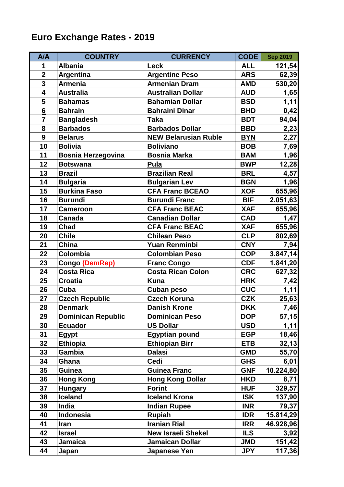## **Euro Exchange Rates - 2019**

| <b>A/A</b>              | <b>COUNTRY</b>            | <b>CURRENCY</b>             | CODE       | <b>Sep 2019</b> |
|-------------------------|---------------------------|-----------------------------|------------|-----------------|
| 1                       | <b>Albania</b>            | <b>Leck</b>                 | <b>ALL</b> | 121,54          |
| $\overline{\mathbf{2}}$ | Argentina                 | <b>Argentine Peso</b>       | <b>ARS</b> | 62,39           |
| $\overline{\mathbf{3}}$ | <b>Armenia</b>            | <b>Armenian Dram</b>        | <b>AMD</b> | 530,20          |
| $\overline{\mathbf{4}}$ | <b>Australia</b>          | <b>Australian Dollar</b>    | <b>AUD</b> | 1,65            |
| 5                       | <b>Bahamas</b>            | <b>Bahamian Dollar</b>      | <b>BSD</b> | 1,11            |
| $6\overline{6}$         | <b>Bahrain</b>            | <b>Bahraini Dinar</b>       | <b>BHD</b> | 0,42            |
| $\overline{7}$          | <b>Bangladesh</b>         | Taka                        | <b>BDT</b> | 94,04           |
| 8                       | <b>Barbados</b>           | <b>Barbados Dollar</b>      | <b>BBD</b> | 2,23            |
| 9                       | <b>Belarus</b>            | <b>NEW Belarusian Ruble</b> | <b>BYN</b> | 2,27            |
| 10                      | <b>Bolivia</b>            | <b>Boliviano</b>            | <b>BOB</b> | 7,69            |
| 11                      | <b>Bosnia Herzegovina</b> | <b>Bosnia Marka</b>         | <b>BAM</b> | 1,96            |
| 12                      | <b>Botswana</b>           | Pula                        | <b>BWP</b> | 12,28           |
| 13                      | <b>Brazil</b>             | <b>Brazilian Real</b>       | <b>BRL</b> | 4,57            |
| 14                      | <b>Bulgaria</b>           | <b>Bulgarian Lev</b>        | <b>BGN</b> | 1,96            |
| 15                      | <b>Burkina Faso</b>       | <b>CFA Franc BCEAO</b>      | <b>XOF</b> | 655,96          |
| 16                      | <b>Burundi</b>            | <b>Burundi Franc</b>        | <b>BIF</b> | 2.051,63        |
| 17                      | <b>Cameroon</b>           | <b>CFA Franc BEAC</b>       | <b>XAF</b> | 655,96          |
| 18                      | <b>Canada</b>             | <b>Canadian Dollar</b>      | <b>CAD</b> | 1,47            |
| 19                      | Chad                      | <b>CFA Franc BEAC</b>       | <b>XAF</b> | 655,96          |
| 20                      | <b>Chile</b>              | <b>Chilean Peso</b>         | <b>CLP</b> | 802,69          |
| 21                      | <b>China</b>              | <b>Yuan Renminbi</b>        | <b>CNY</b> | 7,94            |
| 22                      | Colombia                  | <b>Colombian Peso</b>       | <b>COP</b> | 3.847,14        |
| 23                      | Congo (DemRep)            | <b>Franc Congo</b>          | <b>CDF</b> | 1.841,20        |
| 24                      | <b>Costa Rica</b>         | <b>Costa Rican Colon</b>    | <b>CRC</b> | 627,32          |
| 25                      | <b>Croatia</b>            | <b>Kuna</b>                 | <b>HRK</b> | 7,42            |
| 26                      | Cuba                      | <b>Cuban peso</b>           | <b>CUC</b> | 1,11            |
| 27                      | <b>Czech Republic</b>     | <b>Czech Koruna</b>         | <b>CZK</b> | 25,63           |
| 28                      | <b>Denmark</b>            | <b>Danish Krone</b>         | <b>DKK</b> | 7,46            |
| 29                      | <b>Dominican Republic</b> | <b>Dominican Peso</b>       | <b>DOP</b> | 57,15           |
| 30                      | <b>Ecuador</b>            | <b>US Dollar</b>            | <b>USD</b> | 1,11            |
| 31                      | <b>Egypt</b>              | <b>Egyptian pound</b>       | <b>EGP</b> | 18,46           |
| 32                      | <b>Ethiopia</b>           | <b>Ethiopian Birr</b>       | <b>ETB</b> | 32,13           |
| 33                      | <b>Gambia</b>             | <b>Dalasi</b>               | <b>GMD</b> | 55,70           |
| 34                      | Ghana                     | Cedi                        | <b>GHS</b> | 6,01            |
| 35                      | Guinea                    | <b>Guinea Franc</b>         | <b>GNF</b> | 10.224,80       |
| 36                      | <b>Hong Kong</b>          | <b>Hong Kong Dollar</b>     | <b>HKD</b> | 8,71            |
| 37                      | <b>Hungary</b>            | <b>Forint</b>               | <b>HUF</b> | 329,57          |
| 38                      | <b>Iceland</b>            | <b>Iceland Krona</b>        | <b>ISK</b> | 137,90          |
| 39                      | India                     | <b>Indian Rupee</b>         | <b>INR</b> | 79,37           |
| 40                      | <b>Indonesia</b>          | <b>Rupiah</b>               | <b>IDR</b> | 15.814,29       |
| 41                      | Iran                      | <b>Iranian Rial</b>         | <b>IRR</b> | 46.928,96       |
| 42                      | <b>Israel</b>             | <b>New Israeli Shekel</b>   | <b>ILS</b> | 3,92            |
| 43                      | Jamaica                   | <b>Jamaican Dollar</b>      | <b>JMD</b> | 151,42          |
| 44                      | Japan                     | <b>Japanese Yen</b>         | <b>JPY</b> | 117,36          |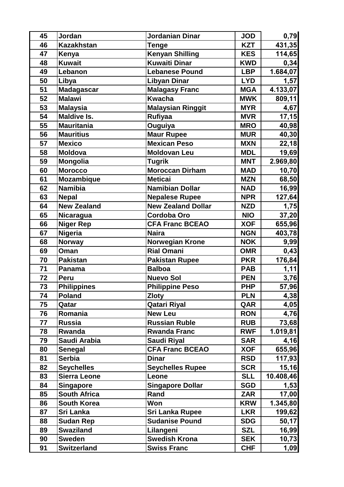| 45 | Jordan              | Jordanian Dinar          | <b>JOD</b> | 0,79      |
|----|---------------------|--------------------------|------------|-----------|
| 46 | <b>Kazakhstan</b>   | <b>Tenge</b>             | <b>KZT</b> | 431,35    |
| 47 | Kenya               | <b>Kenyan Shilling</b>   | <b>KES</b> | 114,65    |
| 48 | <b>Kuwait</b>       | <b>Kuwaiti Dinar</b>     | <b>KWD</b> | 0,34      |
| 49 | Lebanon             | <b>Lebanese Pound</b>    | <b>LBP</b> | 1.684,07  |
| 50 | Libya               | Libyan Dinar             | <b>LYD</b> | 1,57      |
| 51 | <b>Madagascar</b>   | <b>Malagasy Franc</b>    | <b>MGA</b> | 4.133,07  |
| 52 | <b>Malawi</b>       | <b>Kwacha</b>            | <b>MWK</b> | 809,11    |
| 53 | <b>Malaysia</b>     | <b>Malaysian Ringgit</b> | <b>MYR</b> | 4,67      |
| 54 | <b>Maldive Is.</b>  | Rufiyaa                  | <b>MVR</b> | 17,15     |
| 55 | <b>Mauritania</b>   | Ouguiya                  | <b>MRO</b> | 40,98     |
| 56 | <b>Mauritius</b>    | <b>Maur Rupee</b>        | <b>MUR</b> | 40,30     |
| 57 | <b>Mexico</b>       | <b>Mexican Peso</b>      | <b>MXN</b> | 22,18     |
| 58 | <b>Moldova</b>      | <b>Moldovan Leu</b>      | <b>MDL</b> | 19,69     |
| 59 | <b>Mongolia</b>     | Tugrik                   | <b>MNT</b> | 2.969,80  |
| 60 | <b>Morocco</b>      | <b>Moroccan Dirham</b>   | <b>MAD</b> | 10,70     |
| 61 | <b>Mozambique</b>   | <b>Meticai</b>           | <b>MZN</b> | 68,50     |
| 62 | <b>Namibia</b>      | <b>Namibian Dollar</b>   | <b>NAD</b> | 16,99     |
| 63 | <b>Nepal</b>        | <b>Nepalese Rupee</b>    | <b>NPR</b> | 127,64    |
| 64 | <b>New Zealand</b>  | New Zealand Dollar       | <b>NZD</b> | 1,75      |
| 65 | Nicaragua           | <b>Cordoba Oro</b>       | <b>NIO</b> | 37,20     |
| 66 | <b>Niger Rep</b>    | <b>CFA Franc BCEAO</b>   | <b>XOF</b> | 655,96    |
| 67 | <b>Nigeria</b>      | <b>Naira</b>             | <b>NGN</b> | 403,78    |
| 68 | Norway              | <b>Norwegian Krone</b>   | <b>NOK</b> | 9,99      |
| 69 | Oman                | <b>Rial Omani</b>        | <b>OMR</b> | 0,43      |
| 70 | <b>Pakistan</b>     | <b>Pakistan Rupee</b>    | <b>PKR</b> | 176,84    |
| 71 | Panama              | <b>Balboa</b>            | <b>PAB</b> | 1,11      |
| 72 | Peru                | <b>Nuevo Sol</b>         | <b>PEN</b> | 3,76      |
| 73 | <b>Philippines</b>  | <b>Philippine Peso</b>   | <b>PHP</b> | 57,96     |
| 74 | <b>Poland</b>       | <b>Zloty</b>             | <b>PLN</b> | 4,38      |
| 75 | Qatar               | <b>Qatari Riyal</b>      | QAR        | 4,05      |
| 76 | Romania             | <b>New Leu</b>           | <b>RON</b> | 4,76      |
| 77 | <b>Russia</b>       | <b>Russian Ruble</b>     | <b>RUB</b> | 73,68     |
| 78 | Rwanda              | <b>Rwanda Franc</b>      | <b>RWF</b> | 1.019,81  |
| 79 | Saudi Arabia        | <b>Saudi Riyal</b>       | <b>SAR</b> | 4,16      |
| 80 | <b>Senegal</b>      | <b>CFA Franc BCEAO</b>   | <b>XOF</b> | 655,96    |
| 81 | <b>Serbia</b>       | <b>Dinar</b>             | <b>RSD</b> | 117,93    |
| 82 | <b>Seychelles</b>   | <b>Seychelles Rupee</b>  | <b>SCR</b> | 15,16     |
| 83 | <b>Sierra Leone</b> | Leone                    | <b>SLL</b> | 10.408,46 |
| 84 | <b>Singapore</b>    | <b>Singapore Dollar</b>  | <b>SGD</b> | 1,53      |
| 85 | <b>South Africa</b> | Rand                     | <b>ZAR</b> | 17,00     |
| 86 | <b>South Korea</b>  | Won                      | <b>KRW</b> | 1.345,80  |
| 87 | Sri Lanka           | Sri Lanka Rupee          | <b>LKR</b> | 199,62    |
| 88 | <b>Sudan Rep</b>    | <b>Sudanise Pound</b>    | <b>SDG</b> | 50,17     |
| 89 | <b>Swaziland</b>    | Lilangeni                | <b>SZL</b> | 16,99     |
| 90 | <b>Sweden</b>       | <b>Swedish Krona</b>     | <b>SEK</b> | 10,73     |
| 91 | <b>Switzerland</b>  | <b>Swiss Franc</b>       | <b>CHF</b> | 1,09      |